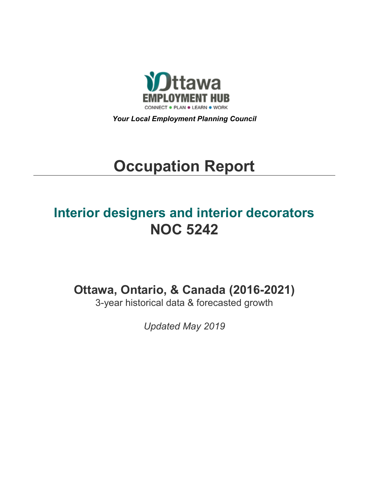

*Your Local Employment Planning Council*

# **Occupation Report**

# **Interior designers and interior decorators NOC 5242**

**Ottawa, Ontario, & Canada (2016-2021)**

3-year historical data & forecasted growth

*Updated May 2019*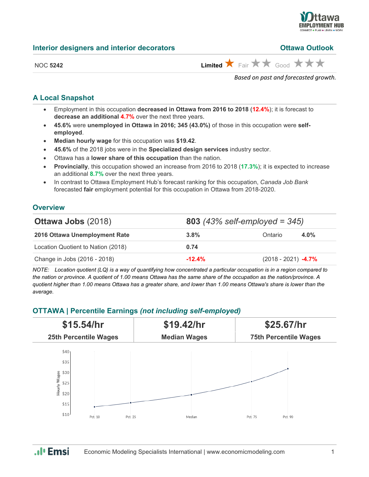

#### **Interior designers and interior decorators**

| <b>Ottawa Outlook</b> |  |
|-----------------------|--|
|                       |  |

| NC  | c - 1 |
|-----|-------|
| ) C | உ     |

| NOC 5242 |  | Limited $\bigstar$ Fair $\bigstar \star$ Good $\bigstar \star \star$ |
|----------|--|----------------------------------------------------------------------|

*Based on past and forecasted growth.*

# **A Local Snapshot**

- Employment in this occupation **decreased in Ottawa from 2016 to 2018** (**12.4%**); it is forecast to **decrease an additional 4.7%** over the next three years.
- **45.6%** were **unemployed in Ottawa in 2016; 345 (43.0%)** of those in this occupation were **selfemployed**.
- **Median hourly wage** for this occupation was **\$19.42**.
- **45.6%** of the 2018 jobs were in the **Specialized design services** industry sector.
- Ottawa has a **lower share of this occupation** than the nation.
- **Provincially**, this occupation showed an increase from 2016 to 2018 (**17.3%**); it is expected to increase an additional **8.7%** over the next three years.
- In contrast to Ottawa Employment Hub's forecast ranking for this occupation, *Canada Job Bank*  forecasted **fair** employment potential for this occupation in Ottawa from 2018-2020.

# **Overview**

| <b>Ottawa Jobs (2018)</b>          | <b>803</b> (43% self-employed = $345$ ) |                       |      |
|------------------------------------|-----------------------------------------|-----------------------|------|
| 2016 Ottawa Unemployment Rate      | $3.8\%$                                 | Ontario               | 4.0% |
| Location Quotient to Nation (2018) | 0.74                                    |                       |      |
| Change in Jobs (2016 - 2018)       | $-12.4%$                                | $(2018 - 2021)$ -4.7% |      |

*NOTE: Location quotient (LQ) is a way of quantifying how concentrated a particular occupation is in a region compared to the nation or province. A quotient of 1.00 means Ottawa has the same share of the occupation as the nation/province. A quotient higher than 1.00 means Ottawa has a greater share, and lower than 1.00 means Ottawa's share is lower than the average.*

# **OTTAWA | Percentile Earnings** *(not including self-employed)*



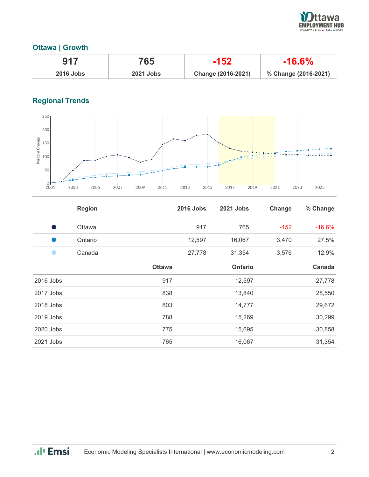

# **Ottawa | Growth**

| 917              | 765              | $-152$             | $-16.6\%$            |
|------------------|------------------|--------------------|----------------------|
| <b>2016 Jobs</b> | <b>2021 Jobs</b> | Change (2016-2021) | % Change (2016-2021) |

# **Regional Trends**



|           | <b>Region</b> |               | <b>2016 Jobs</b> | 2021 Jobs      | Change | % Change |
|-----------|---------------|---------------|------------------|----------------|--------|----------|
| o a       | Ottawa        |               | 917              | 765            | $-152$ | $-16.6%$ |
|           | Ontario       |               | 12,597           | 16,067         | 3,470  | 27.5%    |
| $\bullet$ | Canada        |               | 27,778           | 31,354         | 3,576  | 12.9%    |
|           |               | <b>Ottawa</b> |                  | <b>Ontario</b> |        | Canada   |
| 2016 Jobs |               | 917           |                  | 12,597         |        | 27,778   |
| 2017 Jobs |               | 838           |                  | 13,840         |        | 28,550   |
| 2018 Jobs |               | 803           |                  | 14,777         |        | 29,672   |
| 2019 Jobs |               | 788           |                  | 15,269         |        | 30,299   |
| 2020 Jobs |               | 775           |                  | 15,695         |        | 30,858   |
| 2021 Jobs |               | 765           |                  | 16,067         |        | 31,354   |

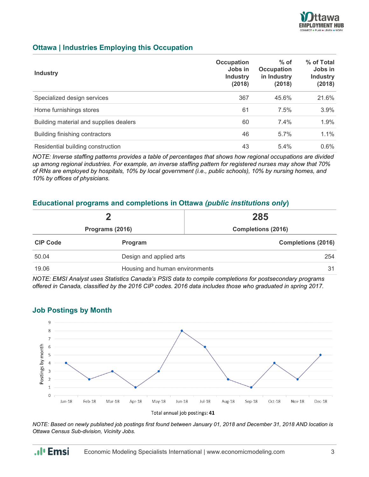

# **Ottawa | Industries Employing this Occupation**

| <b>Industry</b>                        | Occupation<br>Jobs in<br><b>Industry</b><br>(2018) | $%$ of<br><b>Occupation</b><br>in Industry<br>(2018) | % of Total<br>Jobs in<br><b>Industry</b><br>(2018) |
|----------------------------------------|----------------------------------------------------|------------------------------------------------------|----------------------------------------------------|
| Specialized design services            | 367                                                | 45.6%                                                | 21.6%                                              |
| Home furnishings stores                | 61                                                 | 7.5%                                                 | 3.9%                                               |
| Building material and supplies dealers | 60                                                 | 7.4%                                                 | 1.9%                                               |
| Building finishing contractors         | 46                                                 | $5.7\%$                                              | 1.1%                                               |
| Residential building construction      | 43                                                 | 5.4%                                                 | $0.6\%$                                            |

*NOTE: Inverse staffing patterns provides a table of percentages that shows how regional occupations are divided up among regional industries. For example, an inverse staffing pattern for registered nurses may show that 70% of RNs are employed by hospitals, 10% by local government (i.e., public schools), 10% by nursing homes, and 10% by offices of physicians.*

### **Educational programs and completions in Ottawa** *(public institutions only***)**

|                 |                                | 285                       |  |
|-----------------|--------------------------------|---------------------------|--|
|                 | Programs (2016)                | <b>Completions (2016)</b> |  |
| <b>CIP Code</b> | Program                        | <b>Completions (2016)</b> |  |
| 50.04           | Design and applied arts        | 254                       |  |
| 19.06           | Housing and human environments | 31                        |  |

*NOTE: EMSI Analyst uses Statistics Canada's PSIS data to compile completions for postsecondary programs offered in Canada, classified by the 2016 CIP codes. 2016 data includes those who graduated in spring 2017.*



### **Job Postings by Month**

.**.**I<sub>I</sub> Emsi

*NOTE: Based on newly published job postings first found between January 01, 2018 and December 31, 2018 AND location is Ottawa Census Sub-division, Vicinity Jobs.*